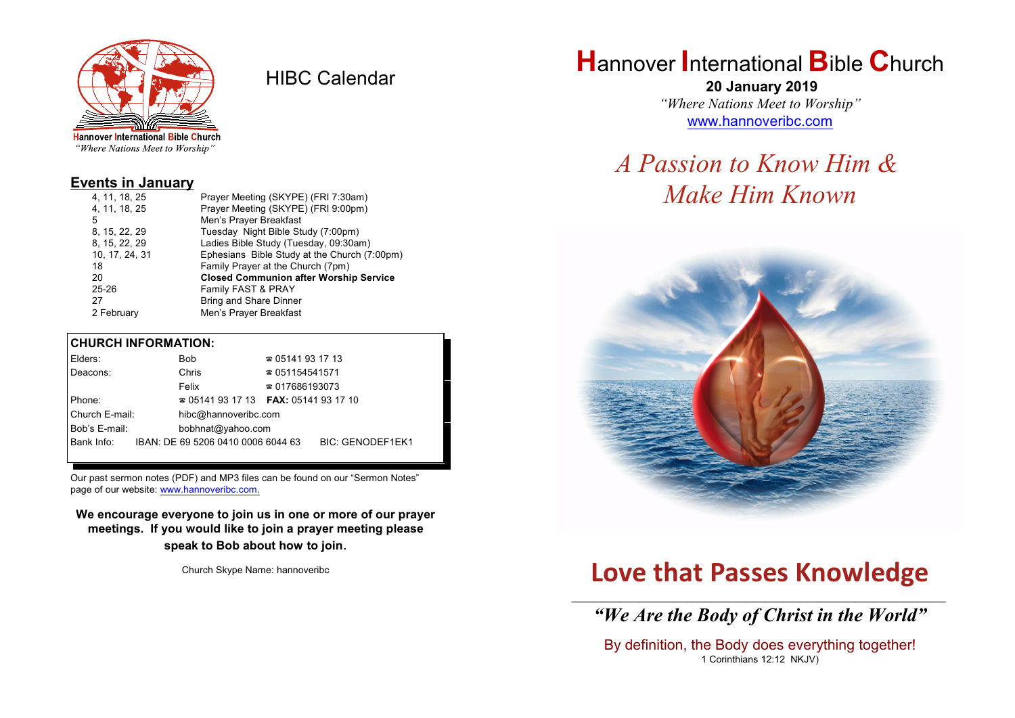

HIBC Calendar

"Where Nations Meet to Worship"

### **Events in January**

| 4, 11, 18, 25  | Prayer Meeting (SKYPE) (FRI 7:30am)           |  |  |
|----------------|-----------------------------------------------|--|--|
| 4, 11, 18, 25  | Prayer Meeting (SKYPE) (FRI 9:00pm)           |  |  |
| 5              | Men's Prayer Breakfast                        |  |  |
| 8, 15, 22, 29  | Tuesday Night Bible Study (7:00pm)            |  |  |
| 8, 15, 22, 29  | Ladies Bible Study (Tuesday, 09:30am)         |  |  |
| 10, 17, 24, 31 | Ephesians Bible Study at the Church (7:00pm)  |  |  |
| 18             | Family Prayer at the Church (7pm)             |  |  |
| 20             | <b>Closed Communion after Worship Service</b> |  |  |
| $25 - 26$      | Family FAST & PRAY                            |  |  |
| 27             | Bring and Share Dinner                        |  |  |
| 2 February     | Men's Prayer Breakfast                        |  |  |
|                |                                               |  |  |

### **CHURCH INFORMATION:**

| Elders:                                |  | Bob                                      | $\approx 05141931713$  |                         |
|----------------------------------------|--|------------------------------------------|------------------------|-------------------------|
| Deacons:                               |  | Chris                                    | $\approx 051154541571$ |                         |
|                                        |  | Felix                                    | $\approx 017686193073$ |                         |
| Phone:                                 |  | $\approx 05141931713$ FAX: 0514193 17 10 |                        |                         |
| Church E-mail:<br>hibc@hannoveribc.com |  |                                          |                        |                         |
| Bob's E-mail:                          |  | bobhnat@yahoo.com                        |                        |                         |
| Bank Info:                             |  | IBAN: DE 69 5206 0410 0006 6044 63       |                        | <b>BIC: GENODEF1EK1</b> |
|                                        |  |                                          |                        |                         |

Our past sermon notes (PDF) and MP3 files can be found on our "Sermon Notes" page of our website: [www.hannoveribc.com.](http://www.hannoveribc.com.)

**We encourage everyone to join us in one or more of our prayer meetings. If you would like to join a prayer meeting please speak to Bob about how to join**.

Church Skype Name: hannoveribc

## **H**annover **I**nternational **B**ible **C**hurch

 **20 January 2019** *"Where Nations Meet to Worship"* [www.hannoveribc.com](http://www.hannoveribc.com)

# *A Passion to Know Him & Make Him Known*



# **Love that Passes Knowledge**

\_\_\_\_\_\_\_\_\_\_\_\_\_\_\_\_\_\_\_\_\_\_\_\_\_\_\_\_\_\_\_\_\_\_\_\_\_\_\_\_\_\_\_\_\_\_\_\_\_\_\_\_\_\_\_\_\_\_\_\_\_\_ *"We Are the Body of Christ in the World"*

By definition, the Body does everything together! 1 Corinthians 12:12 NKJV)